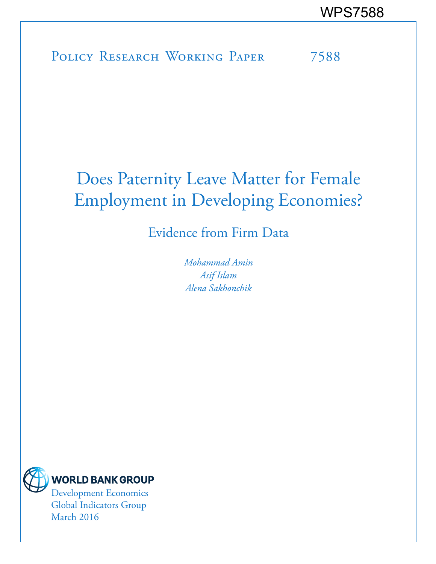POLICY RESEARCH WORKING PAPER 7588

# Does Paternity Leave Matter for Female Employment in Developing Economies?

Evidence from Firm Data

*Mohammad Amin Asif Islam Alena Sakhonchik*



Global Indicators Group March 2016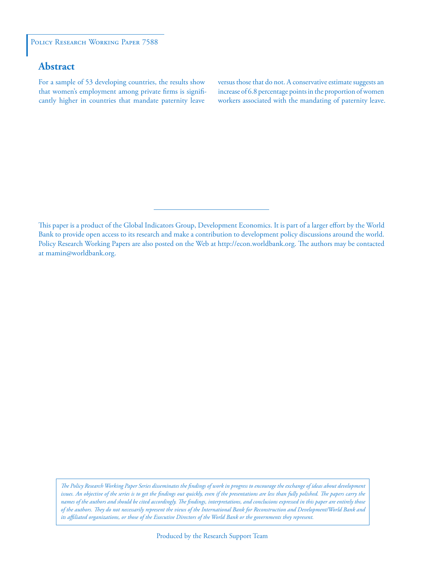#### POLICY RESEARCH WORKING PAPER 7588

## **Abstract**

For a sample of 53 developing countries, the results show that women's employment among private firms is significantly higher in countries that mandate paternity leave

versus those that do not. A conservative estimate suggests an increase of 6.8 percentage points in the proportion of women workers associated with the mandating of paternity leave.

*The Policy Research Working Paper Series disseminates the findings of work in progress to encourage the exchange of ideas about development*  issues. An objective of the series is to get the findings out quickly, even if the presentations are less than fully polished. The papers carry the *names of the authors and should be cited accordingly. The findings, interpretations, and conclusions expressed in this paper are entirely those of the authors. They do not necessarily represent the views of the International Bank for Reconstruction and Development/World Bank and its affiliated organizations, or those of the Executive Directors of the World Bank or the governments they represent.*

This paper is a product of the Global Indicators Group, Development Economics. It is part of a larger effort by the World Bank to provide open access to its research and make a contribution to development policy discussions around the world. Policy Research Working Papers are also posted on the Web at http://econ.worldbank.org. The authors may be contacted at mamin@worldbank.org.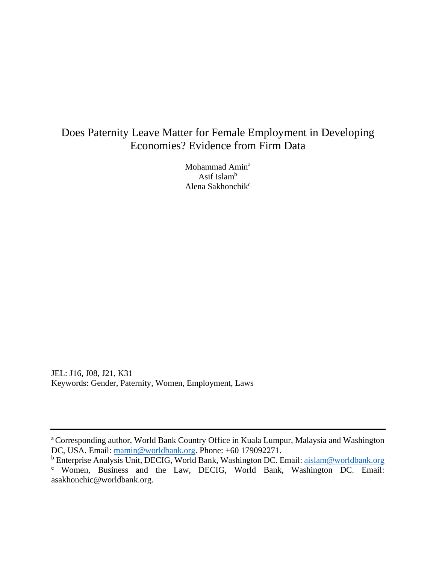# Does Paternity Leave Matter for Female Employment in Developing Economies? Evidence from Firm Data

Mohammad Amin<sup>a</sup> Asif Islam $<sup>b</sup>$ </sup> Alena Sakhonchik $c$ 

JEL: J16, J08, J21, K31 Keywords: Gender, Paternity, Women, Employment, Laws

a Corresponding author, World Bank Country Office in Kuala Lumpur, Malaysia and Washington DC, USA. Email: mamin@worldbank.org. Phone: +60 179092271.

<sup>&</sup>lt;sup>b</sup> Enterprise Analysis Unit, DECIG, World Bank, Washington DC. Email: aislam@worldbank.org **<sup>c</sup>** Women, Business and the Law, DECIG, World Bank, Washington DC. Email: asakhonchic@worldbank.org.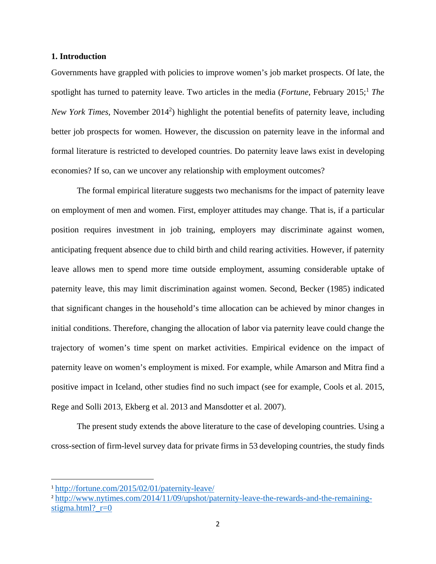#### **1. Introduction**

Governments have grappled with policies to improve women's job market prospects. Of late, the spotlight has turned to paternity leave. Two articles in the media (*Fortune*, February 2015;<sup>1</sup> *The* New York Times, November 2014<sup>2</sup>) highlight the potential benefits of paternity leave, including better job prospects for women. However, the discussion on paternity leave in the informal and formal literature is restricted to developed countries. Do paternity leave laws exist in developing economies? If so, can we uncover any relationship with employment outcomes?

The formal empirical literature suggests two mechanisms for the impact of paternity leave on employment of men and women. First, employer attitudes may change. That is, if a particular position requires investment in job training, employers may discriminate against women, anticipating frequent absence due to child birth and child rearing activities. However, if paternity leave allows men to spend more time outside employment, assuming considerable uptake of paternity leave, this may limit discrimination against women. Second, Becker (1985) indicated that significant changes in the household's time allocation can be achieved by minor changes in initial conditions. Therefore, changing the allocation of labor via paternity leave could change the trajectory of women's time spent on market activities. Empirical evidence on the impact of paternity leave on women's employment is mixed. For example, while Amarson and Mitra find a positive impact in Iceland, other studies find no such impact (see for example, Cools et al. 2015, Rege and Solli 2013, Ekberg et al. 2013 and Mansdotter et al. 2007).

The present study extends the above literature to the case of developing countries. Using a cross-section of firm-level survey data for private firms in 53 developing countries, the study finds

<sup>1</sup> http://fortune.com/2015/02/01/paternity-leave/

<sup>2</sup> http://www.nytimes.com/2014/11/09/upshot/paternity-leave-the-rewards-and-the-remainingstigma.html?  $r=0$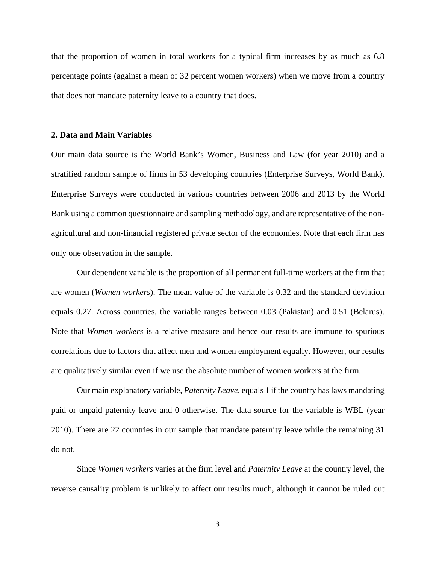that the proportion of women in total workers for a typical firm increases by as much as 6.8 percentage points (against a mean of 32 percent women workers) when we move from a country that does not mandate paternity leave to a country that does.

#### **2. Data and Main Variables**

Our main data source is the World Bank's Women, Business and Law (for year 2010) and a stratified random sample of firms in 53 developing countries (Enterprise Surveys, World Bank). Enterprise Surveys were conducted in various countries between 2006 and 2013 by the World Bank using a common questionnaire and sampling methodology, and are representative of the nonagricultural and non-financial registered private sector of the economies. Note that each firm has only one observation in the sample.

Our dependent variable is the proportion of all permanent full-time workers at the firm that are women (*Women workers*). The mean value of the variable is 0.32 and the standard deviation equals 0.27. Across countries, the variable ranges between 0.03 (Pakistan) and 0.51 (Belarus). Note that *Women workers* is a relative measure and hence our results are immune to spurious correlations due to factors that affect men and women employment equally. However, our results are qualitatively similar even if we use the absolute number of women workers at the firm.

Our main explanatory variable, *Paternity Leave*, equals 1 if the country has laws mandating paid or unpaid paternity leave and 0 otherwise. The data source for the variable is WBL (year 2010). There are 22 countries in our sample that mandate paternity leave while the remaining 31 do not.

Since *Women workers* varies at the firm level and *Paternity Leave* at the country level, the reverse causality problem is unlikely to affect our results much, although it cannot be ruled out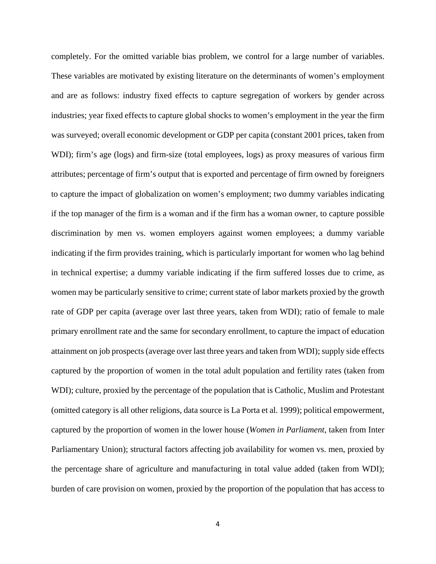completely. For the omitted variable bias problem, we control for a large number of variables. These variables are motivated by existing literature on the determinants of women's employment and are as follows: industry fixed effects to capture segregation of workers by gender across industries; year fixed effects to capture global shocks to women's employment in the year the firm was surveyed; overall economic development or GDP per capita (constant 2001 prices, taken from WDI); firm's age (logs) and firm-size (total employees, logs) as proxy measures of various firm attributes; percentage of firm's output that is exported and percentage of firm owned by foreigners to capture the impact of globalization on women's employment; two dummy variables indicating if the top manager of the firm is a woman and if the firm has a woman owner, to capture possible discrimination by men vs. women employers against women employees; a dummy variable indicating if the firm provides training, which is particularly important for women who lag behind in technical expertise; a dummy variable indicating if the firm suffered losses due to crime, as women may be particularly sensitive to crime; current state of labor markets proxied by the growth rate of GDP per capita (average over last three years, taken from WDI); ratio of female to male primary enrollment rate and the same for secondary enrollment, to capture the impact of education attainment on job prospects (average over last three years and taken from WDI); supply side effects captured by the proportion of women in the total adult population and fertility rates (taken from WDI); culture, proxied by the percentage of the population that is Catholic, Muslim and Protestant (omitted category is all other religions, data source is La Porta et al. 1999); political empowerment, captured by the proportion of women in the lower house (*Women in Parliament*, taken from Inter Parliamentary Union); structural factors affecting job availability for women vs. men, proxied by the percentage share of agriculture and manufacturing in total value added (taken from WDI); burden of care provision on women, proxied by the proportion of the population that has access to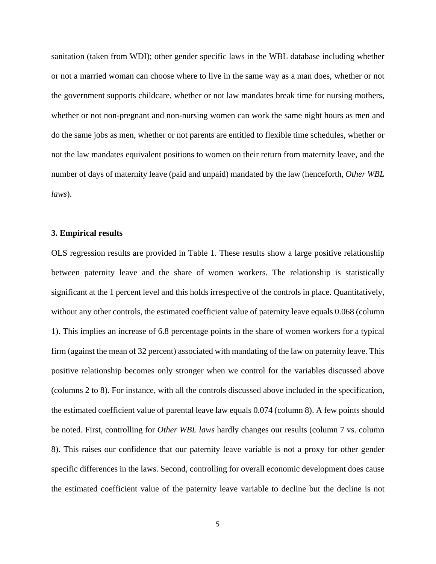sanitation (taken from WDI); other gender specific laws in the WBL database including whether or not a married woman can choose where to live in the same way as a man does, whether or not the government supports childcare, whether or not law mandates break time for nursing mothers, whether or not non-pregnant and non-nursing women can work the same night hours as men and do the same jobs as men, whether or not parents are entitled to flexible time schedules, whether or not the law mandates equivalent positions to women on their return from maternity leave, and the number of days of maternity leave (paid and unpaid) mandated by the law (henceforth, *Other WBL laws*).

#### **3. Empirical results**

OLS regression results are provided in Table 1. These results show a large positive relationship between paternity leave and the share of women workers. The relationship is statistically significant at the 1 percent level and this holds irrespective of the controls in place. Quantitatively, without any other controls, the estimated coefficient value of paternity leave equals 0.068 (column 1). This implies an increase of 6.8 percentage points in the share of women workers for a typical firm (against the mean of 32 percent) associated with mandating of the law on paternity leave. This positive relationship becomes only stronger when we control for the variables discussed above (columns 2 to 8). For instance, with all the controls discussed above included in the specification, the estimated coefficient value of parental leave law equals 0.074 (column 8). A few points should be noted. First, controlling for *Other WBL laws* hardly changes our results (column 7 vs. column 8). This raises our confidence that our paternity leave variable is not a proxy for other gender specific differences in the laws. Second, controlling for overall economic development does cause the estimated coefficient value of the paternity leave variable to decline but the decline is not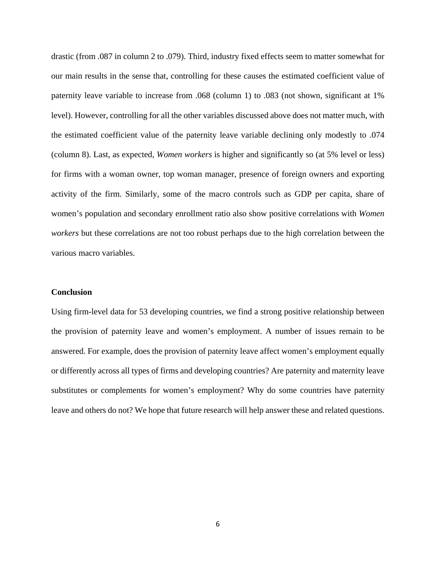drastic (from .087 in column 2 to .079). Third, industry fixed effects seem to matter somewhat for our main results in the sense that, controlling for these causes the estimated coefficient value of paternity leave variable to increase from .068 (column 1) to .083 (not shown, significant at 1% level). However, controlling for all the other variables discussed above does not matter much, with the estimated coefficient value of the paternity leave variable declining only modestly to .074 (column 8). Last, as expected, *Women workers* is higher and significantly so (at 5% level or less) for firms with a woman owner, top woman manager, presence of foreign owners and exporting activity of the firm. Similarly, some of the macro controls such as GDP per capita, share of women's population and secondary enrollment ratio also show positive correlations with *Women workers* but these correlations are not too robust perhaps due to the high correlation between the various macro variables.

#### **Conclusion**

Using firm-level data for 53 developing countries, we find a strong positive relationship between the provision of paternity leave and women's employment. A number of issues remain to be answered. For example, does the provision of paternity leave affect women's employment equally or differently across all types of firms and developing countries? Are paternity and maternity leave substitutes or complements for women's employment? Why do some countries have paternity leave and others do not? We hope that future research will help answer these and related questions.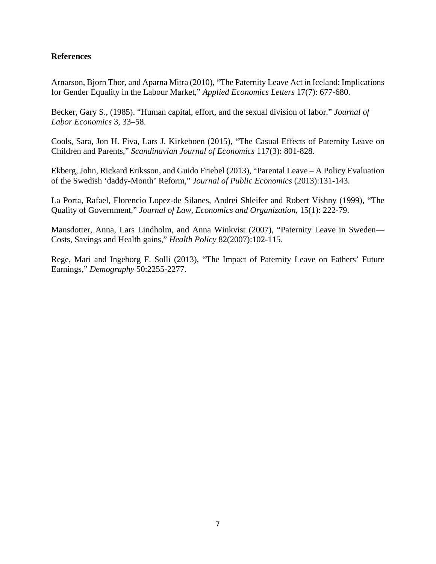### **References**

Arnarson, Bjorn Thor, and Aparna Mitra (2010), "The Paternity Leave Act in Iceland: Implications for Gender Equality in the Labour Market," *Applied Economics Letters* 17(7): 677-680.

Becker, Gary S., (1985). "Human capital, effort, and the sexual division of labor." *Journal of Labor Economics* 3, 33–58.

Cools, Sara, Jon H. Fiva, Lars J. Kirkeboen (2015), "The Casual Effects of Paternity Leave on Children and Parents," *Scandinavian Journal of Economics* 117(3): 801-828.

Ekberg, John, Rickard Eriksson, and Guido Friebel (2013), "Parental Leave – A Policy Evaluation of the Swedish 'daddy-Month' Reform," *Journal of Public Economics* (2013):131-143.

La Porta, Rafael, Florencio Lopez-de Silanes, Andrei Shleifer and Robert Vishny (1999), "The Quality of Government," *Journal of Law, Economics and Organization*, 15(1): 222-79.

Mansdotter, Anna, Lars Lindholm, and Anna Winkvist (2007), "Paternity Leave in Sweden— Costs, Savings and Health gains," *Health Policy* 82(2007):102-115.

Rege, Mari and Ingeborg F. Solli (2013), "The Impact of Paternity Leave on Fathers' Future Earnings," *Demography* 50:2255-2277.